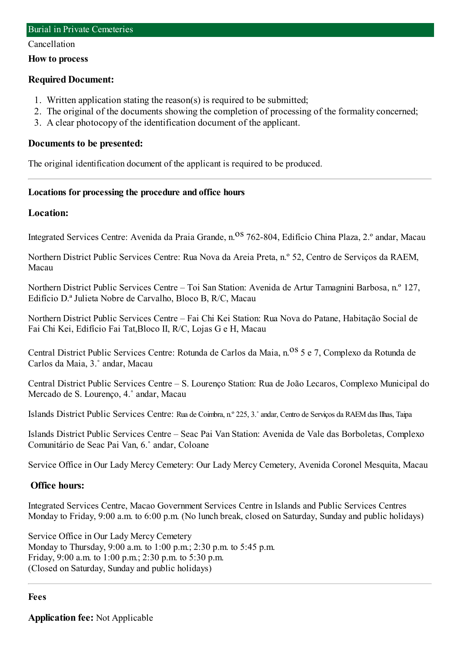#### Cancellation

#### **How to process**

### **Required Document:**

- 1. Written application stating the reason(s) is required to be submitted;
- 2. The original of the documents showing the completion of processing of the formality concerned;
- 3. A clear photocopy of the identification document of the applicant.

#### **Documents to be presented:**

The original identification document of the applicant is required to be produced.

#### **Locations for processing the procedure and office hours**

#### **Location:**

Integrated Services Centre: Avenida da Praia Grande, n.<sup>08</sup> 762-804, Edifício China Plaza, 2.º andar, Macau

Northern District Public Services Centre: Rua Nova da Areia Preta, n.º 52, Centro de Serviços da RAEM, Macau

Northern District Public Services Centre – Toi San Station: Avenida de Artur Tamagnini Barbosa, n.º 127, Edifício D.ª Julieta Nobre de Carvalho, Bloco B, R/C, Macau

Northern District Public Services Centre – Fai Chi Kei Station: Rua Nova do Patane, Habitação Social de Fai Chi Kei, Edifício Fai Tat,Bloco II, R/C, Lojas G e H, Macau

Central District Public Services Centre: Rotunda de Carlos da Maia, n.<sup>08</sup> 5 e 7, Complexo da Rotunda de Carlos da Maia, 3.˚ andar, Macau

Central District Public Services Centre – S. Lourenço Station: Rua de João Lecaros, Complexo Municipal do Mercado de S. Lourenço, 4.˚ andar, Macau

Islands District Public Services Centre: Rua de Coimbra, n.º 225, 3.˚andar, Centro de Serviços da RAEMdas Ilhas, Taipa

Islands District Public Services Centre – Seac Pai Van Station: Avenida de Vale das Borboletas, Complexo Comunitário de Seac Pai Van, 6.˚ andar, Coloane

Service Office in Our Lady Mercy Cemetery: Our Lady Mercy Cemetery, Avenida Coronel Mesquita, Macau

## **Office hours:**

Integrated Services Centre, Macao Government Services Centre in Islands and Public Services Centres Monday to Friday, 9:00 a.m. to 6:00 p.m. (No lunch break, closed on Saturday, Sunday and public holidays)

Service Office in Our Lady Mercy Cemetery Monday to Thursday, 9:00 a.m. to 1:00 p.m.; 2:30 p.m. to 5:45 p.m. Friday, 9:00 a.m. to 1:00 p.m.; 2:30 p.m. to 5:30 p.m. (Closed on Saturday, Sunday and public holidays)

#### **Fees**

**Application fee:** Not Applicable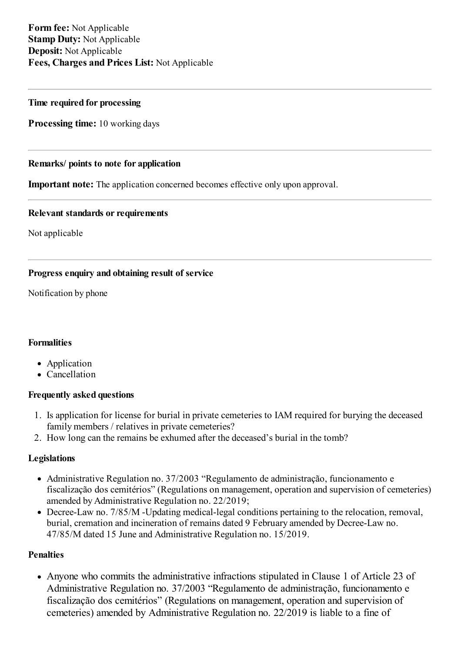**Time required for processing**

**Processing time:** 10 working days

## **Remarks/ points to note for application**

**Important note:** The application concerned becomes effective only upon approval.

#### **Relevant standards or requirements**

Not applicable

# **Progress enquiry and obtaining result of service**

Notification by phone

## **Formalities**

- Application
- Cancellation

## **Frequently asked questions**

- 1. Is application for license for burial in private cemeteries to IAM required for burying the deceased family members / relatives in private cemeteries?
- 2. How long can the remains be exhumed after the deceased's burial in the tomb?

## **Legislations**

- Administrative Regulation no. 37/2003 "Regulamento de administração, funcionamento e fiscalização dos cemitérios" (Regulations on management, operation and supervision of cemeteries) amended by Administrative Regulation no. 22/2019;
- Decree-Law no. 7/85/M -Updating medical-legal conditions pertaining to the relocation, removal, burial, cremation and incineration of remains dated 9 February amended byDecree-Law no. 47/85/M dated 15 June and Administrative Regulation no. 15/2019.

## **Penalties**

Anyone who commits the administrative infractions stipulated in Clause 1 of Article 23 of Administrative Regulation no. 37/2003 "Regulamento de administração, funcionamento e fiscalização dos cemitérios" (Regulations on management, operation and supervision of cemeteries) amended by Administrative Regulation no. 22/2019 is liable to a fine of